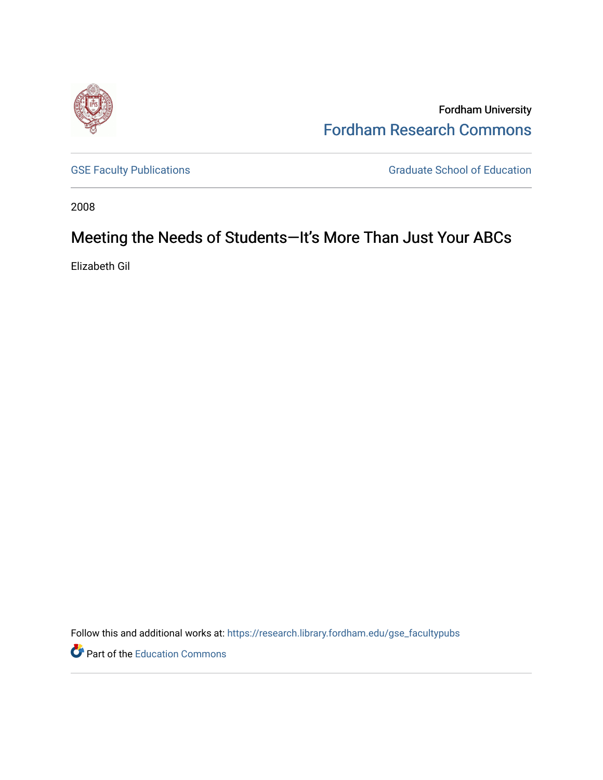

Fordham University [Fordham Research Commons](https://research.library.fordham.edu/) 

[GSE Faculty Publications](https://research.library.fordham.edu/gse_facultypubs) **GRADUATE SCHOOL SECTION** Graduate School of Education

2008

# Meeting the Needs of Students—It's More Than Just Your ABCs

Elizabeth Gil

Follow this and additional works at: [https://research.library.fordham.edu/gse\\_facultypubs](https://research.library.fordham.edu/gse_facultypubs?utm_source=research.library.fordham.edu%2Fgse_facultypubs%2F6&utm_medium=PDF&utm_campaign=PDFCoverPages)

Part of the [Education Commons](http://network.bepress.com/hgg/discipline/784?utm_source=research.library.fordham.edu%2Fgse_facultypubs%2F6&utm_medium=PDF&utm_campaign=PDFCoverPages)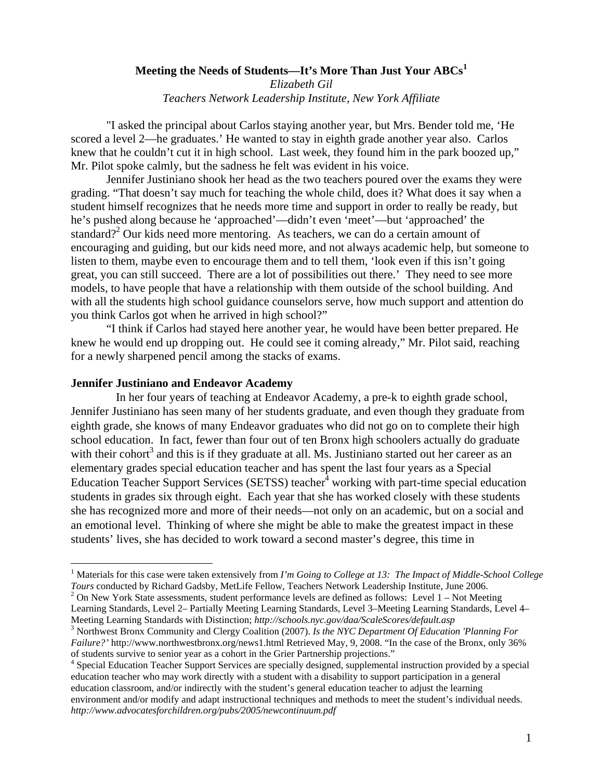### **Meeting the Needs of Students—It's More Than Just Your ABCs<sup>1</sup>** *Elizabeth Gil Teachers Network Leadership Institute, New York Affiliate*

"I asked the principal about Carlos staying another year, but Mrs. Bender told me, 'He scored a level 2—he graduates.' He wanted to stay in eighth grade another year also. Carlos knew that he couldn't cut it in high school. Last week, they found him in the park boozed up," Mr. Pilot spoke calmly, but the sadness he felt was evident in his voice.

Jennifer Justiniano shook her head as the two teachers poured over the exams they were grading. "That doesn't say much for teaching the whole child, does it? What does it say when a student himself recognizes that he needs more time and support in order to really be ready, but he's pushed along because he 'approached'—didn't even 'meet'—but 'approached' the standard?<sup>2</sup> Our kids need more mentoring. As teachers, we can do a certain amount of encouraging and guiding, but our kids need more, and not always academic help, but someone to listen to them, maybe even to encourage them and to tell them, 'look even if this isn't going great, you can still succeed. There are a lot of possibilities out there.' They need to see more models, to have people that have a relationship with them outside of the school building. And with all the students high school guidance counselors serve, how much support and attention do you think Carlos got when he arrived in high school?"

"I think if Carlos had stayed here another year, he would have been better prepared. He knew he would end up dropping out. He could see it coming already," Mr. Pilot said, reaching for a newly sharpened pencil among the stacks of exams.

#### **Jennifer Justiniano and Endeavor Academy**

In her four years of teaching at Endeavor Academy, a pre-k to eighth grade school, Jennifer Justiniano has seen many of her students graduate, and even though they graduate from eighth grade, she knows of many Endeavor graduates who did not go on to complete their high school education. In fact, fewer than four out of ten Bronx high schoolers actually do graduate with their cohort<sup>3</sup> and this is if they graduate at all. Ms. Justiniano started out her career as an elementary grades special education teacher and has spent the last four years as a Special Education Teacher Support Services (SETSS) teacher $\frac{4}{3}$  working with part-time special education students in grades six through eight. Each year that she has worked closely with these students she has recognized more and more of their needs—not only on an academic, but on a social and an emotional level. Thinking of where she might be able to make the greatest impact in these students' lives, she has decided to work toward a second master's degree, this time in

<sup>&</sup>lt;sup>1</sup> Materials for this case were taken extensively from *I'm Going to College at 13: The Impact of Middle-School College Tours* conducted by Richard Gadsby, MetLife Fellow, Teachers Network Leadership Institute, June 2006. <sup>2</sup>

<sup>&</sup>lt;sup>2</sup> On New York State assessments, student performance levels are defined as follows: Level 1 – Not Meeting Learning Standards, Level 2– Partially Meeting Learning Standards, Level 3–Meeting Learning Standards, Level 4– Meeting Learning Standards with Distinction; *http://schools.nyc.gov/daa/ScaleScores/default.asp* <sup>3</sup>

<sup>&</sup>lt;sup>3</sup> Northwest Bronx Community and Clergy Coalition (2007). *Is the NYC Department Of Education 'Planning For Failure?'* http://www.northwestbronx.org/news1.html Retrieved May, 9, 2008. "In the case of the Bronx, only 36% of students survive to senior year as a cohort in the Grier Partnership projections."

<sup>4</sup> Special Education Teacher Support Services are specially designed, supplemental instruction provided by a special education teacher who may work directly with a student with a disability to support participation in a general education classroom, and/or indirectly with the student's general education teacher to adjust the learning environment and/or modify and adapt instructional techniques and methods to meet the student's individual needs. *http://www.advocatesforchildren.org/pubs/2005/newcontinuum.pdf*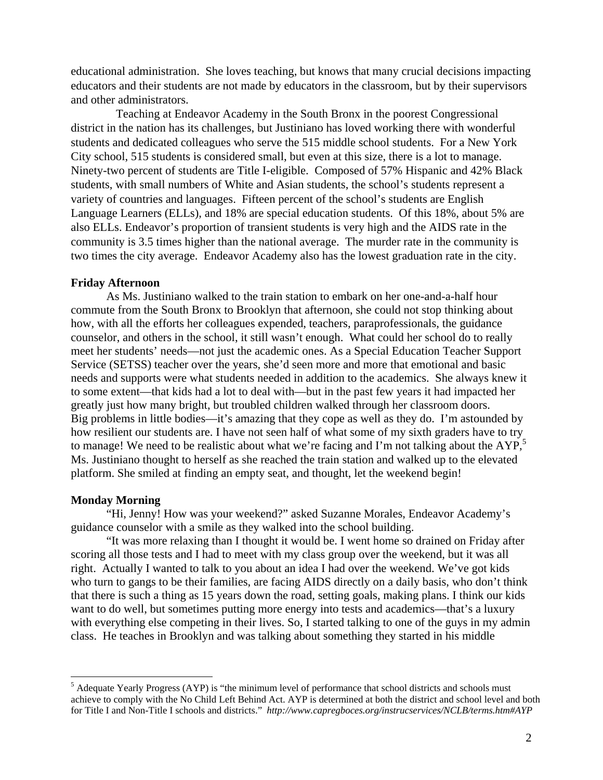educational administration. She loves teaching, but knows that many crucial decisions impacting educators and their students are not made by educators in the classroom, but by their supervisors and other administrators.

Teaching at Endeavor Academy in the South Bronx in the poorest Congressional district in the nation has its challenges, but Justiniano has loved working there with wonderful students and dedicated colleagues who serve the 515 middle school students. For a New York City school, 515 students is considered small, but even at this size, there is a lot to manage. Ninety-two percent of students are Title I-eligible. Composed of 57% Hispanic and 42% Black students, with small numbers of White and Asian students, the school's students represent a variety of countries and languages. Fifteen percent of the school's students are English Language Learners (ELLs), and 18% are special education students. Of this 18%, about 5% are also ELLs. Endeavor's proportion of transient students is very high and the AIDS rate in the community is 3.5 times higher than the national average. The murder rate in the community is two times the city average. Endeavor Academy also has the lowest graduation rate in the city.

#### **Friday Afternoon**

As Ms. Justiniano walked to the train station to embark on her one-and-a-half hour commute from the South Bronx to Brooklyn that afternoon, she could not stop thinking about how, with all the efforts her colleagues expended, teachers, paraprofessionals, the guidance counselor, and others in the school, it still wasn't enough. What could her school do to really meet her students' needs—not just the academic ones. As a Special Education Teacher Support Service (SETSS) teacher over the years, she'd seen more and more that emotional and basic needs and supports were what students needed in addition to the academics. She always knew it to some extent—that kids had a lot to deal with—but in the past few years it had impacted her greatly just how many bright, but troubled children walked through her classroom doors. Big problems in little bodies—it's amazing that they cope as well as they do. I'm astounded by how resilient our students are. I have not seen half of what some of my sixth graders have to try to manage! We need to be realistic about what we're facing and I'm not talking about the AYP,<sup>5</sup> Ms. Justiniano thought to herself as she reached the train station and walked up to the elevated platform. She smiled at finding an empty seat, and thought, let the weekend begin!

#### **Monday Morning**

"Hi, Jenny! How was your weekend?" asked Suzanne Morales, Endeavor Academy's guidance counselor with a smile as they walked into the school building.

"It was more relaxing than I thought it would be. I went home so drained on Friday after scoring all those tests and I had to meet with my class group over the weekend, but it was all right. Actually I wanted to talk to you about an idea I had over the weekend. We've got kids who turn to gangs to be their families, are facing AIDS directly on a daily basis, who don't think that there is such a thing as 15 years down the road, setting goals, making plans. I think our kids want to do well, but sometimes putting more energy into tests and academics—that's a luxury with everything else competing in their lives. So, I started talking to one of the guys in my admin class. He teaches in Brooklyn and was talking about something they started in his middle

 $<sup>5</sup>$  Adequate Yearly Progress (AYP) is "the minimum level of performance that school districts and schools must</sup> achieve to comply with the No Child Left Behind Act. AYP is determined at both the district and school level and both for Title I and Non-Title I schools and districts." *http://www.capregboces.org/instrucservices/NCLB/terms.htm#AYP*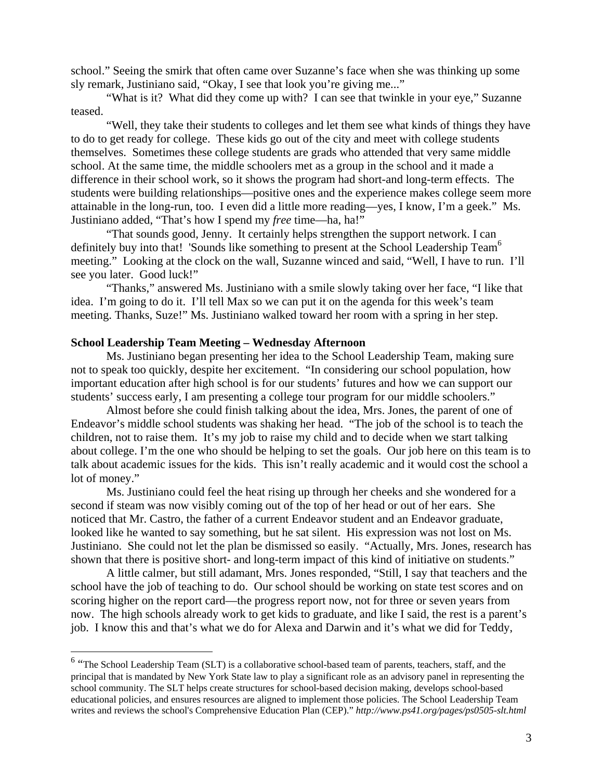school." Seeing the smirk that often came over Suzanne's face when she was thinking up some sly remark, Justiniano said, "Okay, I see that look you're giving me..."

"What is it? What did they come up with? I can see that twinkle in your eye," Suzanne teased.

"Well, they take their students to colleges and let them see what kinds of things they have to do to get ready for college. These kids go out of the city and meet with college students themselves. Sometimes these college students are grads who attended that very same middle school. At the same time, the middle schoolers met as a group in the school and it made a difference in their school work, so it shows the program had short-and long-term effects. The students were building relationships—positive ones and the experience makes college seem more attainable in the long-run, too. I even did a little more reading—yes, I know, I'm a geek." Ms. Justiniano added, "That's how I spend my *free* time—ha, ha!"

"That sounds good, Jenny. It certainly helps strengthen the support network. I can definitely buy into that! 'Sounds like something to present at the School Leadership Team<sup>6</sup> meeting." Looking at the clock on the wall, Suzanne winced and said, "Well, I have to run. I'll see you later. Good luck!"

"Thanks," answered Ms. Justiniano with a smile slowly taking over her face, "I like that idea. I'm going to do it. I'll tell Max so we can put it on the agenda for this week's team meeting. Thanks, Suze!" Ms. Justiniano walked toward her room with a spring in her step.

#### **School Leadership Team Meeting – Wednesday Afternoon**

 $\overline{a}$ 

Ms. Justiniano began presenting her idea to the School Leadership Team, making sure not to speak too quickly, despite her excitement. "In considering our school population, how important education after high school is for our students' futures and how we can support our students' success early, I am presenting a college tour program for our middle schoolers."

Almost before she could finish talking about the idea, Mrs. Jones, the parent of one of Endeavor's middle school students was shaking her head. "The job of the school is to teach the children, not to raise them. It's my job to raise my child and to decide when we start talking about college. I'm the one who should be helping to set the goals. Our job here on this team is to talk about academic issues for the kids. This isn't really academic and it would cost the school a lot of money."

Ms. Justiniano could feel the heat rising up through her cheeks and she wondered for a second if steam was now visibly coming out of the top of her head or out of her ears. She noticed that Mr. Castro, the father of a current Endeavor student and an Endeavor graduate, looked like he wanted to say something, but he sat silent. His expression was not lost on Ms. Justiniano. She could not let the plan be dismissed so easily. "Actually, Mrs. Jones, research has shown that there is positive short- and long-term impact of this kind of initiative on students."

A little calmer, but still adamant, Mrs. Jones responded, "Still, I say that teachers and the school have the job of teaching to do. Our school should be working on state test scores and on scoring higher on the report card—the progress report now, not for three or seven years from now. The high schools already work to get kids to graduate, and like I said, the rest is a parent's job. I know this and that's what we do for Alexa and Darwin and it's what we did for Teddy,

<sup>&</sup>lt;sup>6</sup> "The School Leadership Team (SLT) is a collaborative school-based team of parents, teachers, staff, and the principal that is mandated by New York State law to play a significant role as an advisory panel in representing the school community. The SLT helps create structures for school-based decision making, develops school-based educational policies, and ensures resources are aligned to implement those policies. The School Leadership Team writes and reviews the school's Comprehensive Education Plan (CEP)." *http://www.ps41.org/pages/ps0505-slt.html*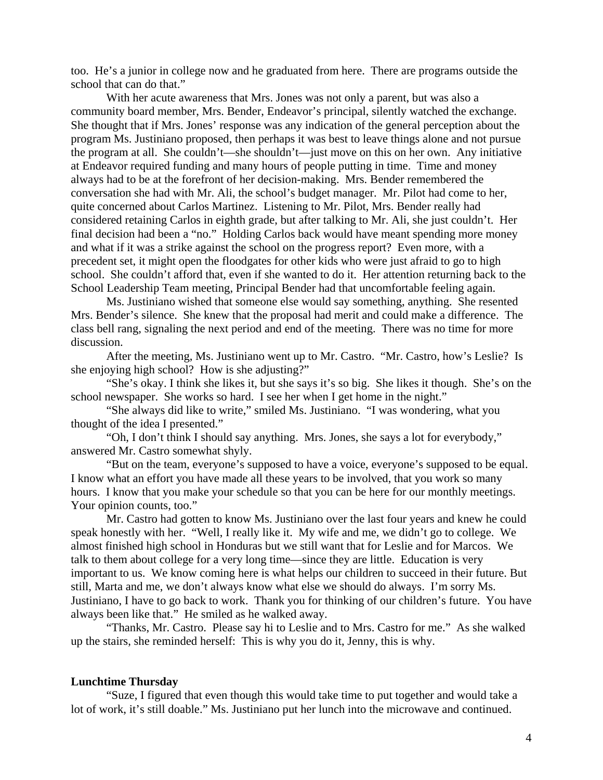too. He's a junior in college now and he graduated from here. There are programs outside the school that can do that."

With her acute awareness that Mrs. Jones was not only a parent, but was also a community board member, Mrs. Bender, Endeavor's principal, silently watched the exchange. She thought that if Mrs. Jones' response was any indication of the general perception about the program Ms. Justiniano proposed, then perhaps it was best to leave things alone and not pursue the program at all. She couldn't—she shouldn't—just move on this on her own. Any initiative at Endeavor required funding and many hours of people putting in time. Time and money always had to be at the forefront of her decision-making. Mrs. Bender remembered the conversation she had with Mr. Ali, the school's budget manager. Mr. Pilot had come to her, quite concerned about Carlos Martinez. Listening to Mr. Pilot, Mrs. Bender really had considered retaining Carlos in eighth grade, but after talking to Mr. Ali, she just couldn't. Her final decision had been a "no." Holding Carlos back would have meant spending more money and what if it was a strike against the school on the progress report? Even more, with a precedent set, it might open the floodgates for other kids who were just afraid to go to high school. She couldn't afford that, even if she wanted to do it. Her attention returning back to the School Leadership Team meeting, Principal Bender had that uncomfortable feeling again.

Ms. Justiniano wished that someone else would say something, anything. She resented Mrs. Bender's silence. She knew that the proposal had merit and could make a difference. The class bell rang, signaling the next period and end of the meeting. There was no time for more discussion.

After the meeting, Ms. Justiniano went up to Mr. Castro. "Mr. Castro, how's Leslie? Is she enjoying high school? How is she adjusting?"

"She's okay. I think she likes it, but she says it's so big. She likes it though. She's on the school newspaper. She works so hard. I see her when I get home in the night."

"She always did like to write," smiled Ms. Justiniano. "I was wondering, what you thought of the idea I presented."

"Oh, I don't think I should say anything. Mrs. Jones, she says a lot for everybody," answered Mr. Castro somewhat shyly.

"But on the team, everyone's supposed to have a voice, everyone's supposed to be equal. I know what an effort you have made all these years to be involved, that you work so many hours. I know that you make your schedule so that you can be here for our monthly meetings. Your opinion counts, too."

Mr. Castro had gotten to know Ms. Justiniano over the last four years and knew he could speak honestly with her. "Well, I really like it. My wife and me, we didn't go to college. We almost finished high school in Honduras but we still want that for Leslie and for Marcos. We talk to them about college for a very long time—since they are little. Education is very important to us. We know coming here is what helps our children to succeed in their future. But still, Marta and me, we don't always know what else we should do always. I'm sorry Ms. Justiniano, I have to go back to work. Thank you for thinking of our children's future. You have always been like that." He smiled as he walked away.

"Thanks, Mr. Castro. Please say hi to Leslie and to Mrs. Castro for me." As she walked up the stairs, she reminded herself: This is why you do it, Jenny, this is why.

#### **Lunchtime Thursday**

"Suze, I figured that even though this would take time to put together and would take a lot of work, it's still doable." Ms. Justiniano put her lunch into the microwave and continued.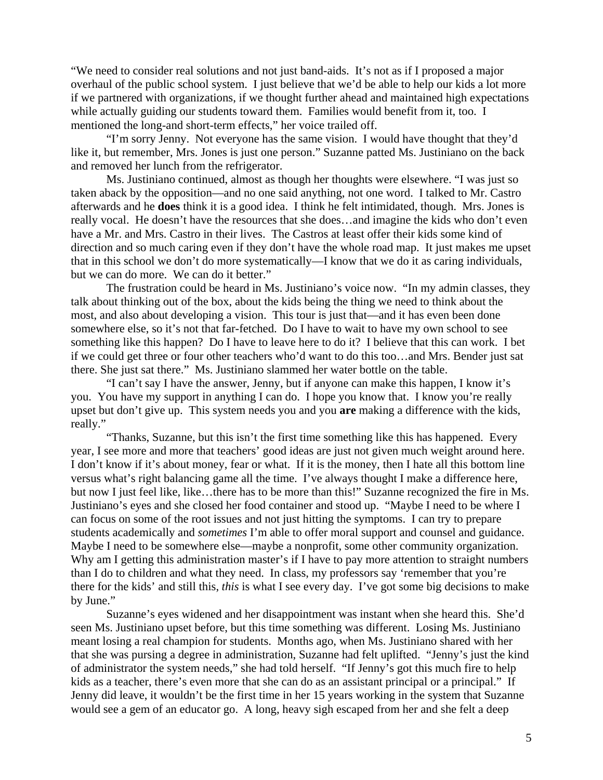"We need to consider real solutions and not just band-aids. It's not as if I proposed a major overhaul of the public school system. I just believe that we'd be able to help our kids a lot more if we partnered with organizations, if we thought further ahead and maintained high expectations while actually guiding our students toward them. Families would benefit from it, too. I mentioned the long-and short-term effects," her voice trailed off.

"I'm sorry Jenny. Not everyone has the same vision. I would have thought that they'd like it, but remember, Mrs. Jones is just one person." Suzanne patted Ms. Justiniano on the back and removed her lunch from the refrigerator.

Ms. Justiniano continued, almost as though her thoughts were elsewhere. "I was just so taken aback by the opposition—and no one said anything, not one word. I talked to Mr. Castro afterwards and he **does** think it is a good idea. I think he felt intimidated, though. Mrs. Jones is really vocal. He doesn't have the resources that she does…and imagine the kids who don't even have a Mr. and Mrs. Castro in their lives. The Castros at least offer their kids some kind of direction and so much caring even if they don't have the whole road map. It just makes me upset that in this school we don't do more systematically—I know that we do it as caring individuals, but we can do more. We can do it better."

The frustration could be heard in Ms. Justiniano's voice now. "In my admin classes, they talk about thinking out of the box, about the kids being the thing we need to think about the most, and also about developing a vision. This tour is just that—and it has even been done somewhere else, so it's not that far-fetched. Do I have to wait to have my own school to see something like this happen? Do I have to leave here to do it? I believe that this can work. I bet if we could get three or four other teachers who'd want to do this too…and Mrs. Bender just sat there. She just sat there." Ms. Justiniano slammed her water bottle on the table.

"I can't say I have the answer, Jenny, but if anyone can make this happen, I know it's you. You have my support in anything I can do. I hope you know that. I know you're really upset but don't give up. This system needs you and you **are** making a difference with the kids, really."

"Thanks, Suzanne, but this isn't the first time something like this has happened. Every year, I see more and more that teachers' good ideas are just not given much weight around here. I don't know if it's about money, fear or what. If it is the money, then I hate all this bottom line versus what's right balancing game all the time. I've always thought I make a difference here, but now I just feel like, like…there has to be more than this!" Suzanne recognized the fire in Ms. Justiniano's eyes and she closed her food container and stood up. "Maybe I need to be where I can focus on some of the root issues and not just hitting the symptoms. I can try to prepare students academically and *sometimes* I'm able to offer moral support and counsel and guidance. Maybe I need to be somewhere else—maybe a nonprofit, some other community organization. Why am I getting this administration master's if I have to pay more attention to straight numbers than I do to children and what they need. In class, my professors say 'remember that you're there for the kids' and still this, *this* is what I see every day. I've got some big decisions to make by June."

Suzanne's eyes widened and her disappointment was instant when she heard this. She'd seen Ms. Justiniano upset before, but this time something was different. Losing Ms. Justiniano meant losing a real champion for students. Months ago, when Ms. Justiniano shared with her that she was pursing a degree in administration, Suzanne had felt uplifted. "Jenny's just the kind of administrator the system needs," she had told herself. "If Jenny's got this much fire to help kids as a teacher, there's even more that she can do as an assistant principal or a principal." If Jenny did leave, it wouldn't be the first time in her 15 years working in the system that Suzanne would see a gem of an educator go. A long, heavy sigh escaped from her and she felt a deep